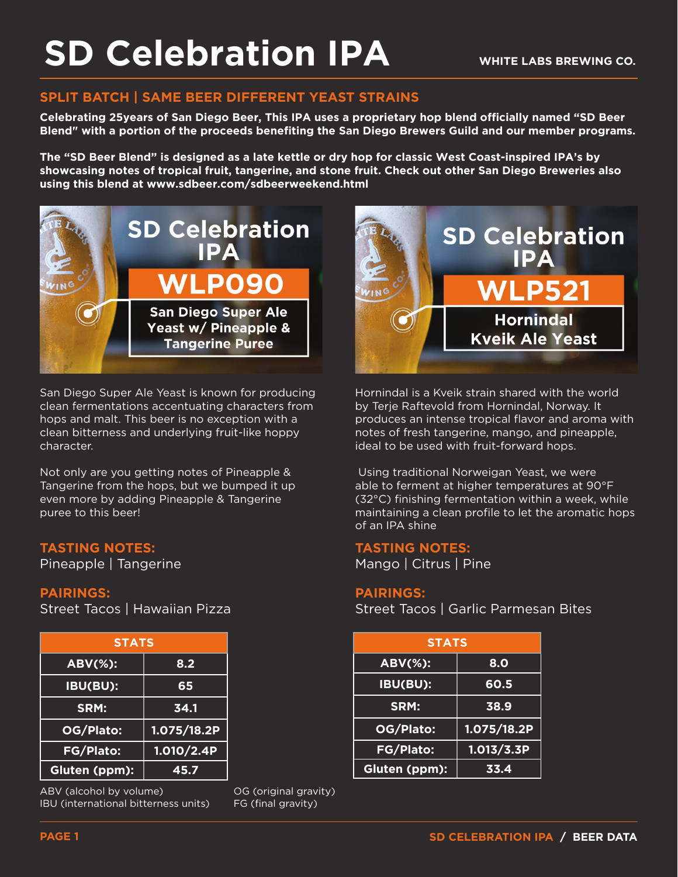## **SPLIT BATCH | SAME BEER DIFFERENT YEAST STRAINS**

**Celebrating 25years of San Diego Beer, This IPA uses a proprietary hop blend officially named "SD Beer Blend" with a portion of the proceeds benefiting the San Diego Brewers Guild and our member programs.**

**The "SD Beer Blend" is designed as a late kettle or dry hop for classic West Coast-inspired IPA's by showcasing notes of tropical fruit, tangerine, and stone fruit. Check out other San Diego Breweries also using this blend at www.sdbeer.com/sdbeerweekend.html**



San Diego Super Ale Yeast is known for producing clean fermentations accentuating characters from hops and malt. This beer is no exception with a clean bitterness and underlying fruit-like hoppy character.

Not only are you getting notes of Pineapple & Tangerine from the hops, but we bumped it up even more by adding Pineapple & Tangerine puree to this beer!

### **TASTING NOTES:**

Pineapple | Tangerine

#### **PAIRINGS:**

Street Tacos | Hawaiian Pizza

| <b>STATS</b>     |             |
|------------------|-------------|
| <b>ABV(%):</b>   | 8.2         |
| IBU(BU):         | 65          |
| SRM:             | 34.1        |
| OG/Plato:        | 1.075/18.2P |
| <b>FG/Plato:</b> | 1.010/2.4P  |
| Gluten (ppm):    | 45.7        |

ABV (alcohol by volume) IBU (international bitterness units) OG (original gravity) FG (final gravity)



Hornindal is a Kveik strain shared with the world by Terje Raftevold from Hornindal, Norway. It produces an intense tropical flavor and aroma with notes of fresh tangerine, mango, and pineapple, ideal to be used with fruit-forward hops.

 Using traditional Norweigan Yeast, we were able to ferment at higher temperatures at 90°F (32°C) finishing fermentation within a week, while maintaining a clean profile to let the aromatic hops of an IPA shine

#### **TASTING NOTES:**

Mango | Citrus | Pine

#### **PAIRINGS:**

Street Tacos | Garlic Parmesan Bites

| <b>STATS</b>     |             |
|------------------|-------------|
| <b>ABV(%):</b>   | 8.0         |
| IBU(BU):         | 60.5        |
| SRM:             | 38.9        |
| OG/Plato:        | 1.075/18.2P |
| <b>FG/Plato:</b> | 1.013/3.3P  |
| Gluten (ppm):    | 33.4        |